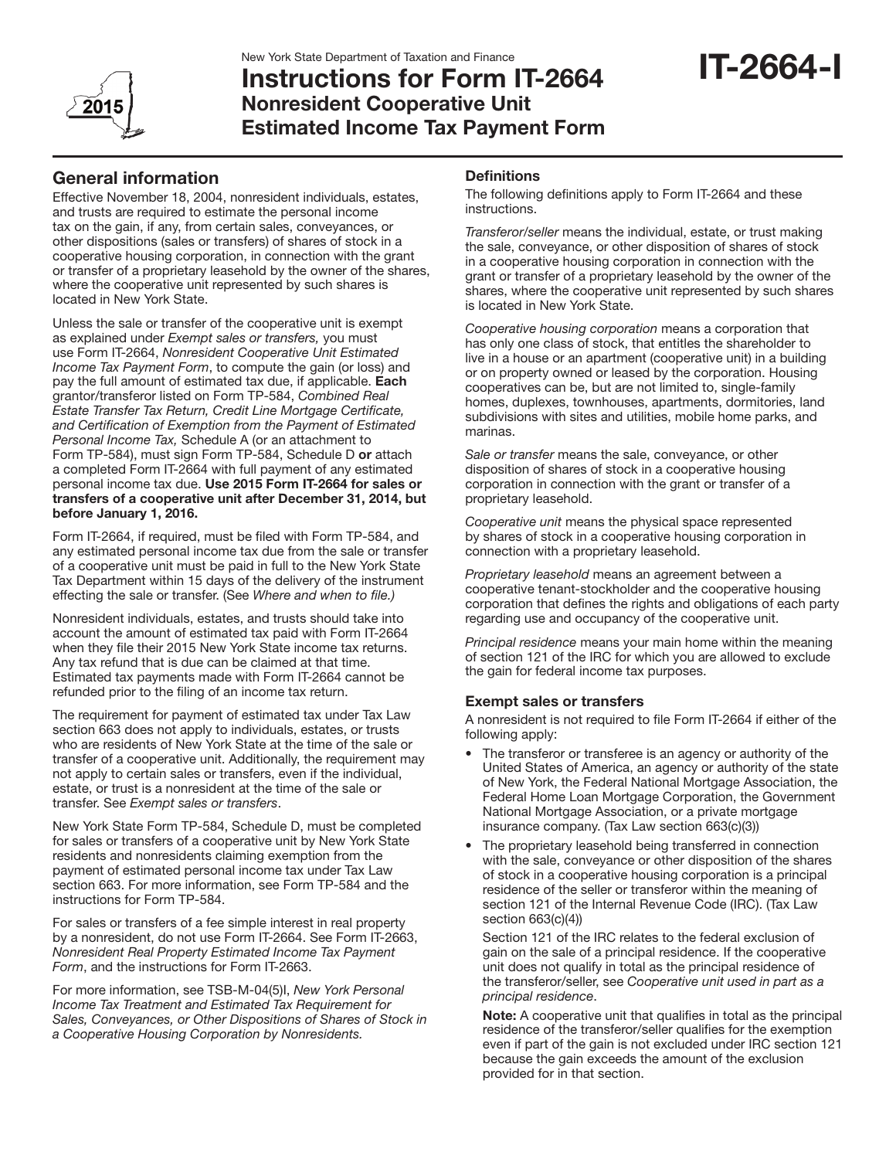

# Instructions for Form IT-2664 Nonresident Cooperative Unit Estimated Income Tax Payment Form

# General information

Effective November 18, 2004, nonresident individuals, estates, and trusts are required to estimate the personal income tax on the gain, if any, from certain sales, conveyances, or other dispositions (sales or transfers) of shares of stock in a cooperative housing corporation, in connection with the grant or transfer of a proprietary leasehold by the owner of the shares, where the cooperative unit represented by such shares is located in New York State.

Unless the sale or transfer of the cooperative unit is exempt as explained under *Exempt sales or transfers,* you must use Form IT-2664, *Nonresident Cooperative Unit Estimated Income Tax Payment Form*, to compute the gain (or loss) and pay the full amount of estimated tax due, if applicable. Each grantor/transferor listed on Form TP-584, *Combined Real Estate Transfer Tax Return, Credit Line Mortgage Certificate, and Certification of Exemption from the Payment of Estimated Personal Income Tax,* Schedule A (or an attachment to Form TP-584), must sign Form TP-584, Schedule D or attach a completed Form IT-2664 with full payment of any estimated personal income tax due. Use 2015 Form IT-2664 for sales or transfers of a cooperative unit after December 31, 2014, but before January 1, 2016.

Form IT-2664, if required, must be filed with Form TP-584, and any estimated personal income tax due from the sale or transfer of a cooperative unit must be paid in full to the New York State Tax Department within 15 days of the delivery of the instrument effecting the sale or transfer. (See *Where and when to file.)*

Nonresident individuals, estates, and trusts should take into account the amount of estimated tax paid with Form IT-2664 when they file their 2015 New York State income tax returns. Any tax refund that is due can be claimed at that time. Estimated tax payments made with Form IT-2664 cannot be refunded prior to the filing of an income tax return.

The requirement for payment of estimated tax under Tax Law section 663 does not apply to individuals, estates, or trusts who are residents of New York State at the time of the sale or transfer of a cooperative unit. Additionally, the requirement may not apply to certain sales or transfers, even if the individual, estate, or trust is a nonresident at the time of the sale or transfer. See *Exempt sales or transfers*.

New York State Form TP-584, Schedule D, must be completed for sales or transfers of a cooperative unit by New York State residents and nonresidents claiming exemption from the payment of estimated personal income tax under Tax Law section 663. For more information, see Form TP-584 and the instructions for Form TP-584.

For sales or transfers of a fee simple interest in real property by a nonresident, do not use Form IT-2664. See Form IT-2663, *Nonresident Real Property Estimated Income Tax Payment Form*, and the instructions for Form IT-2663.

For more information, see TSB-M-04(5)I, *New York Personal Income Tax Treatment and Estimated Tax Requirement for Sales, Conveyances, or Other Dispositions of Shares of Stock in a Cooperative Housing Corporation by Nonresidents.*

# **Definitions**

The following definitions apply to Form IT-2664 and these instructions.

*Transferor/seller* means the individual, estate, or trust making the sale, conveyance, or other disposition of shares of stock in a cooperative housing corporation in connection with the grant or transfer of a proprietary leasehold by the owner of the shares, where the cooperative unit represented by such shares is located in New York State.

*Cooperative housing corporation* means a corporation that has only one class of stock, that entitles the shareholder to live in a house or an apartment (cooperative unit) in a building or on property owned or leased by the corporation. Housing cooperatives can be, but are not limited to, single-family homes, duplexes, townhouses, apartments, dormitories, land subdivisions with sites and utilities, mobile home parks, and marinas.

*Sale or transfer* means the sale, conveyance, or other disposition of shares of stock in a cooperative housing corporation in connection with the grant or transfer of a proprietary leasehold.

*Cooperative unit* means the physical space represented by shares of stock in a cooperative housing corporation in connection with a proprietary leasehold.

*Proprietary leasehold* means an agreement between a cooperative tenant-stockholder and the cooperative housing corporation that defines the rights and obligations of each party regarding use and occupancy of the cooperative unit.

*Principal residence* means your main home within the meaning of section 121 of the IRC for which you are allowed to exclude the gain for federal income tax purposes.

# Exempt sales or transfers

A nonresident is not required to file Form IT-2664 if either of the following apply:

- The transferor or transferee is an agency or authority of the United States of America, an agency or authority of the state of New York, the Federal National Mortgage Association, the Federal Home Loan Mortgage Corporation, the Government National Mortgage Association, or a private mortgage insurance company. (Tax Law section 663(c)(3))
- The proprietary leasehold being transferred in connection with the sale, conveyance or other disposition of the shares of stock in a cooperative housing corporation is a principal residence of the seller or transferor within the meaning of section 121 of the Internal Revenue Code (IRC). (Tax Law section 663(c)(4))

Section 121 of the IRC relates to the federal exclusion of gain on the sale of a principal residence. If the cooperative unit does not qualify in total as the principal residence of the transferor/seller, see *Cooperative unit used in part as a principal residence*.

Note: A cooperative unit that qualifies in total as the principal residence of the transferor/seller qualifies for the exemption even if part of the gain is not excluded under IRC section 121 because the gain exceeds the amount of the exclusion provided for in that section.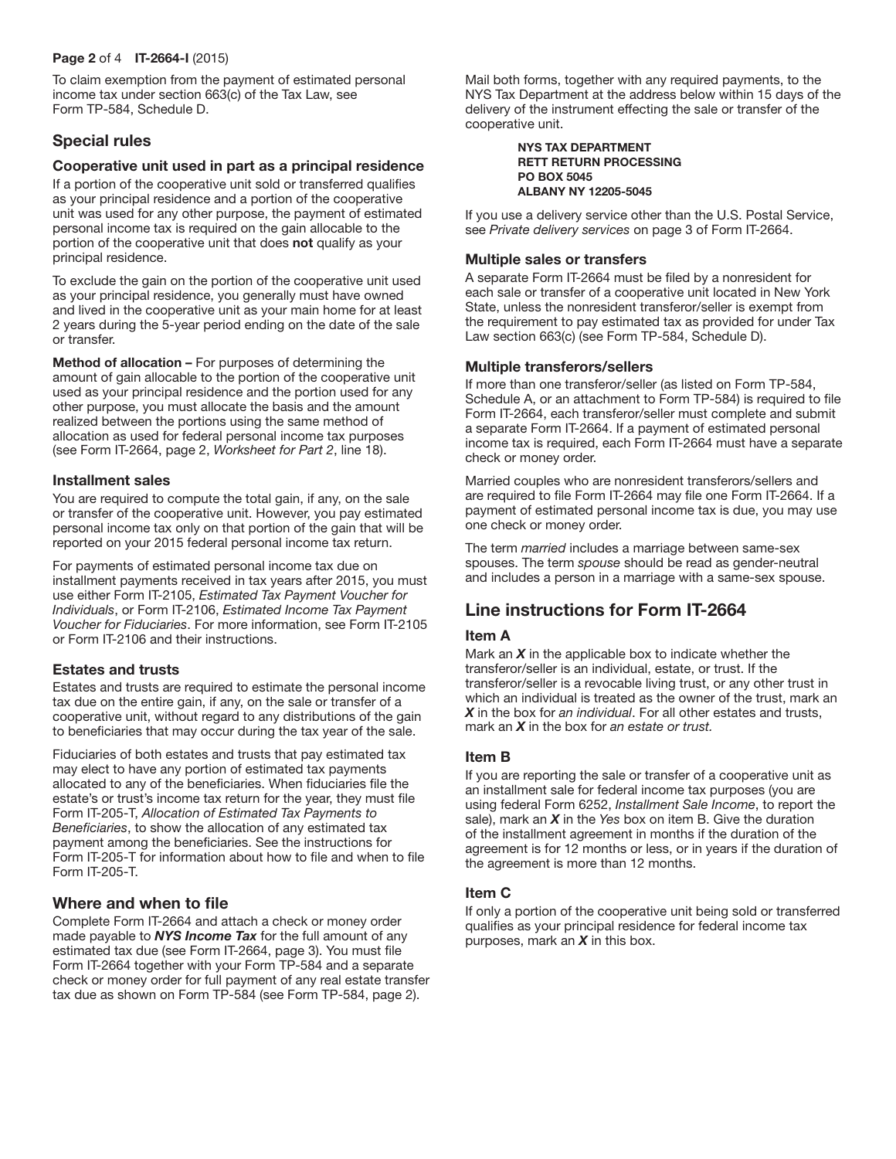#### Page 2 of 4 IT-2664-I (2015)

To claim exemption from the payment of estimated personal income tax under section 663(c) of the Tax Law, see Form TP-584, Schedule D.

# Special rules

#### Cooperative unit used in part as a principal residence

If a portion of the cooperative unit sold or transferred qualifies as your principal residence and a portion of the cooperative unit was used for any other purpose, the payment of estimated personal income tax is required on the gain allocable to the portion of the cooperative unit that does not qualify as your principal residence.

To exclude the gain on the portion of the cooperative unit used as your principal residence, you generally must have owned and lived in the cooperative unit as your main home for at least 2 years during the 5-year period ending on the date of the sale or transfer.

Method of allocation – For purposes of determining the amount of gain allocable to the portion of the cooperative unit used as your principal residence and the portion used for any other purpose, you must allocate the basis and the amount realized between the portions using the same method of allocation as used for federal personal income tax purposes (see Form IT-2664, page 2, *Worksheet for Part 2*, line 18).

#### Installment sales

You are required to compute the total gain, if any, on the sale or transfer of the cooperative unit. However, you pay estimated personal income tax only on that portion of the gain that will be reported on your 2015 federal personal income tax return.

For payments of estimated personal income tax due on installment payments received in tax years after 2015, you must use either Form IT-2105, *Estimated Tax Payment Voucher for Individuals*, or Form IT-2106, *Estimated Income Tax Payment Voucher for Fiduciaries*. For more information, see Form IT-2105 or Form IT-2106 and their instructions.

#### Estates and trusts

Estates and trusts are required to estimate the personal income tax due on the entire gain, if any, on the sale or transfer of a cooperative unit, without regard to any distributions of the gain to beneficiaries that may occur during the tax year of the sale.

Fiduciaries of both estates and trusts that pay estimated tax may elect to have any portion of estimated tax payments allocated to any of the beneficiaries. When fiduciaries file the estate's or trust's income tax return for the year, they must file Form IT-205-T, *Allocation of Estimated Tax Payments to Beneficiaries*, to show the allocation of any estimated tax payment among the beneficiaries. See the instructions for Form IT-205-T for information about how to file and when to file Form IT-205-T.

# Where and when to file

Complete Form IT-2664 and attach a check or money order made payable to *NYS Income Tax* for the full amount of any estimated tax due (see Form IT-2664, page 3). You must file Form IT-2664 together with your Form TP-584 and a separate check or money order for full payment of any real estate transfer tax due as shown on Form TP-584 (see Form TP-584, page 2).

Mail both forms, together with any required payments, to the NYS Tax Department at the address below within 15 days of the delivery of the instrument effecting the sale or transfer of the cooperative unit.

#### NYS TAX DEPARTMENT RETT RETURN PROCESSING PO BOX 5045 ALBANY NY 12205-5045

If you use a delivery service other than the U.S. Postal Service, see *Private delivery services* on page 3 of Form IT-2664.

## Multiple sales or transfers

A separate Form IT-2664 must be filed by a nonresident for each sale or transfer of a cooperative unit located in New York State, unless the nonresident transferor/seller is exempt from the requirement to pay estimated tax as provided for under Tax Law section 663(c) (see Form TP-584, Schedule D).

## Multiple transferors/sellers

If more than one transferor/seller (as listed on Form TP-584, Schedule A, or an attachment to Form TP-584) is required to file Form IT-2664, each transferor/seller must complete and submit a separate Form IT-2664. If a payment of estimated personal income tax is required, each Form IT-2664 must have a separate check or money order.

Married couples who are nonresident transferors/sellers and are required to file Form IT-2664 may file one Form IT-2664. If a payment of estimated personal income tax is due, you may use one check or money order.

The term *married* includes a marriage between same-sex spouses. The term *spouse* should be read as gender-neutral and includes a person in a marriage with a same-sex spouse.

# Line instructions for Form IT-2664

#### Item A

Mark an *X* in the applicable box to indicate whether the transferor/seller is an individual, estate, or trust. If the transferor/seller is a revocable living trust, or any other trust in which an individual is treated as the owner of the trust, mark an *X* in the box for *an individual*. For all other estates and trusts, mark an *X* in the box for *an estate or trust.*

#### Item B

If you are reporting the sale or transfer of a cooperative unit as an installment sale for federal income tax purposes (you are using federal Form 6252, *Installment Sale Income*, to report the sale), mark an *X* in the *Yes* box on item B. Give the duration of the installment agreement in months if the duration of the agreement is for 12 months or less, or in years if the duration of the agreement is more than 12 months.

#### Item C

If only a portion of the cooperative unit being sold or transferred qualifies as your principal residence for federal income tax purposes, mark an *X* in this box.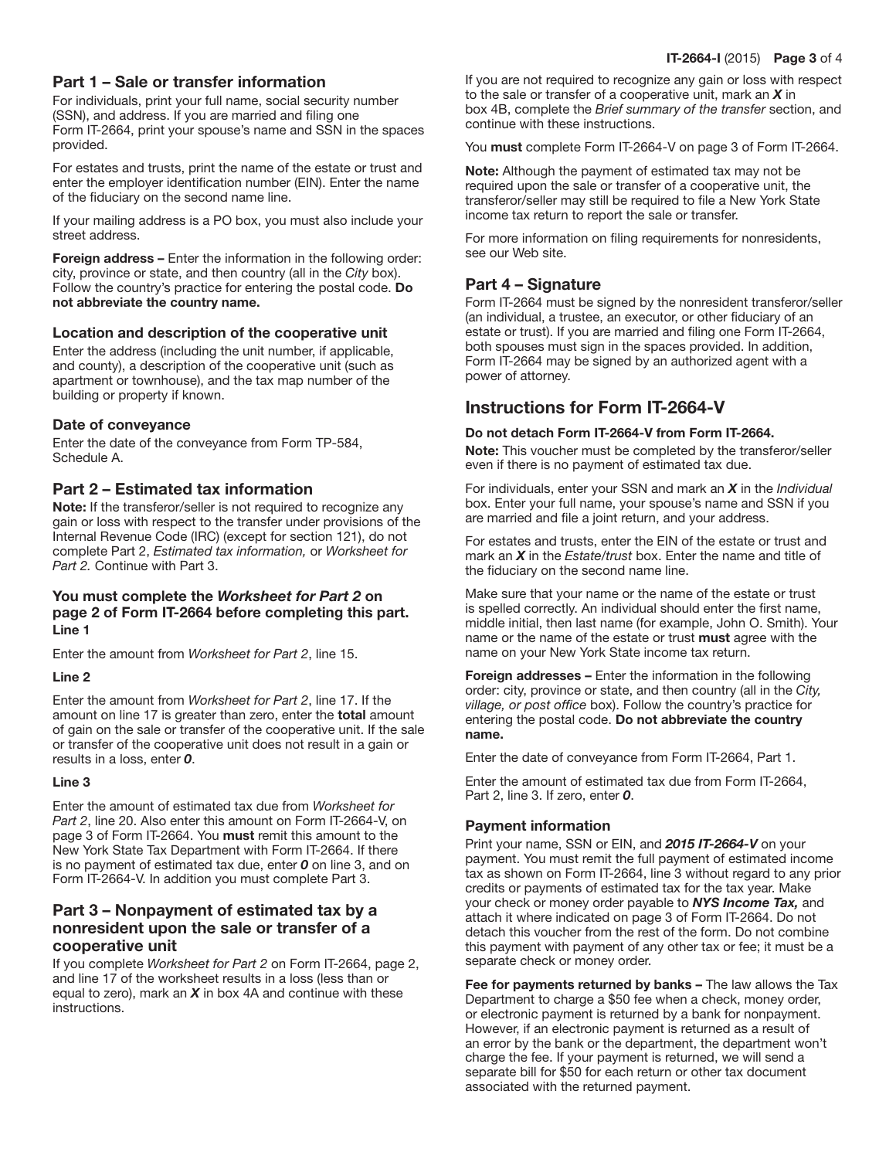# Part 1 – Sale or transfer information

For individuals, print your full name, social security number (SSN), and address. If you are married and filing one Form IT-2664, print your spouse's name and SSN in the spaces provided.

For estates and trusts, print the name of the estate or trust and enter the employer identification number (EIN). Enter the name of the fiduciary on the second name line.

If your mailing address is a PO box, you must also include your street address.

Foreign address – Enter the information in the following order: city, province or state, and then country (all in the *City* box). Follow the country's practice for entering the postal code. Do not abbreviate the country name.

## Location and description of the cooperative unit

Enter the address (including the unit number, if applicable, and county), a description of the cooperative unit (such as apartment or townhouse), and the tax map number of the building or property if known.

## Date of conveyance

Enter the date of the conveyance from Form TP-584, Schedule A.

# Part 2 – Estimated tax information

Note: If the transferor/seller is not required to recognize any gain or loss with respect to the transfer under provisions of the Internal Revenue Code (IRC) (except for section 121), do not complete Part 2, *Estimated tax information,* or *Worksheet for Part 2.* Continue with Part 3.

### You must complete the *Worksheet for Part 2* on page 2 of Form IT-2664 before completing this part. Line 1

Enter the amount from *Worksheet for Part 2*, line 15.

#### Line 2

Enter the amount from *Worksheet for Part 2*, line 17. If the amount on line 17 is greater than zero, enter the total amount of gain on the sale or transfer of the cooperative unit. If the sale or transfer of the cooperative unit does not result in a gain or results in a loss, enter *0*.

#### Line 3

Enter the amount of estimated tax due from *Worksheet for Part 2*, line 20. Also enter this amount on Form IT-2664-V, on page 3 of Form IT-2664. You must remit this amount to the New York State Tax Department with Form IT-2664. If there is no payment of estimated tax due, enter *0* on line 3, and on Form IT-2664-V. In addition you must complete Part 3.

# Part 3 – Nonpayment of estimated tax by a nonresident upon the sale or transfer of a cooperative unit

If you complete *Worksheet for Part 2* on Form IT-2664, page 2, and line 17 of the worksheet results in a loss (less than or equal to zero), mark an *X* in box 4A and continue with these instructions.

If you are not required to recognize any gain or loss with respect to the sale or transfer of a cooperative unit, mark an *X* in box 4B, complete the *Brief summary of the transfer* section, and continue with these instructions.

You must complete Form IT-2664-V on page 3 of Form IT-2664.

Note: Although the payment of estimated tax may not be required upon the sale or transfer of a cooperative unit, the transferor/seller may still be required to file a New York State income tax return to report the sale or transfer.

For more information on filing requirements for nonresidents, see our Web site.

# Part 4 – Signature

Form IT-2664 must be signed by the nonresident transferor/seller (an individual, a trustee, an executor, or other fiduciary of an estate or trust). If you are married and filing one Form IT-2664, both spouses must sign in the spaces provided. In addition, Form IT-2664 may be signed by an authorized agent with a power of attorney.

# Instructions for Form IT-2664-V

## Do not detach Form IT-2664-V from Form IT-2664.

Note: This voucher must be completed by the transferor/seller even if there is no payment of estimated tax due.

For individuals, enter your SSN and mark an *X* in the *Individual*  box. Enter your full name, your spouse's name and SSN if you are married and file a joint return, and your address.

For estates and trusts, enter the EIN of the estate or trust and mark an *X* in the *Estate/trust* box. Enter the name and title of the fiduciary on the second name line.

Make sure that your name or the name of the estate or trust is spelled correctly. An individual should enter the first name, middle initial, then last name (for example, John O. Smith). Your name or the name of the estate or trust must agree with the name on your New York State income tax return.

Foreign addresses – Enter the information in the following order: city, province or state, and then country (all in the *City, village, or post office* box). Follow the country's practice for entering the postal code. Do not abbreviate the country name.

Enter the date of conveyance from Form IT-2664, Part 1.

Enter the amount of estimated tax due from Form IT-2664, Part 2, line 3. If zero, enter *0*.

# Payment information

Print your name, SSN or EIN, and *2015 IT-2664-V* on your payment. You must remit the full payment of estimated income tax as shown on Form IT-2664, line 3 without regard to any prior credits or payments of estimated tax for the tax year. Make your check or money order payable to *NYS Income Tax,* and attach it where indicated on page 3 of Form IT-2664. Do not detach this voucher from the rest of the form. Do not combine this payment with payment of any other tax or fee; it must be a separate check or money order.

Fee for payments returned by banks – The law allows the Tax Department to charge a \$50 fee when a check, money order, or electronic payment is returned by a bank for nonpayment. However, if an electronic payment is returned as a result of an error by the bank or the department, the department won't charge the fee. If your payment is returned, we will send a separate bill for \$50 for each return or other tax document associated with the returned payment.